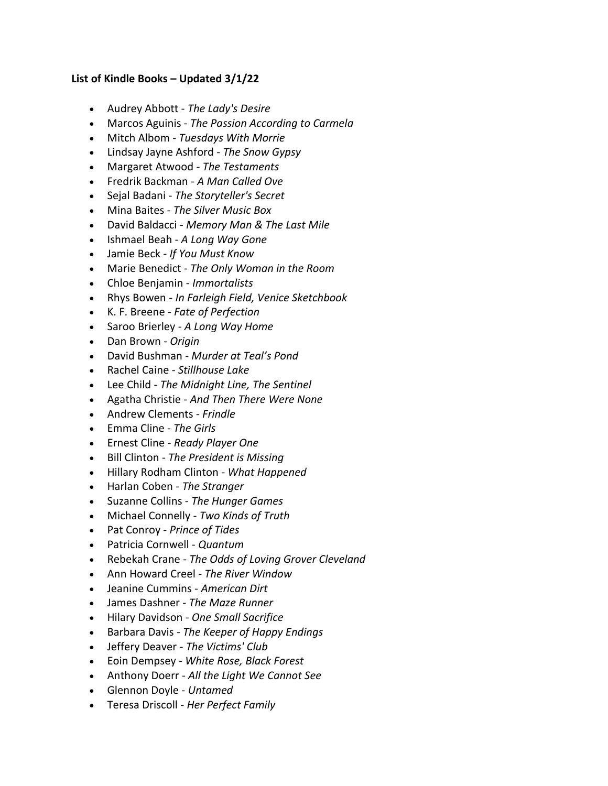## **List of Kindle Books – Updated 3/1/22**

- Audrey Abbott *The Lady's Desire*
- Marcos Aguinis *The Passion According to Carmela*
- Mitch Albom *Tuesdays With Morrie*
- Lindsay Jayne Ashford *The Snow Gypsy*
- Margaret Atwood *The Testaments*
- Fredrik Backman *A Man Called Ove*
- Sejal Badani *The Storyteller's Secret*
- Mina Baites *The Silver Music Box*
- David Baldacci *Memory Man & The Last Mile*
- Ishmael Beah *A Long Way Gone*
- Jamie Beck *If You Must Know*
- Marie Benedict *The Only Woman in the Room*
- Chloe Benjamin *Immortalists*
- Rhys Bowen *In Farleigh Field, Venice Sketchbook*
- K. F. Breene *Fate of Perfection*
- Saroo Brierley *A Long Way Home*
- Dan Brown *Origin*
- David Bushman *Murder at Teal's Pond*
- Rachel Caine *Stillhouse Lake*
- Lee Child *The Midnight Line, The Sentinel*
- Agatha Christie *And Then There Were None*
- Andrew Clements *Frindle*
- Emma Cline *The Girls*
- Ernest Cline *Ready Player One*
- Bill Clinton *The President is Missing*
- Hillary Rodham Clinton *What Happened*
- Harlan Coben *The Stranger*
- Suzanne Collins *The Hunger Games*
- Michael Connelly *Two Kinds of Truth*
- Pat Conroy *Prince of Tides*
- Patricia Cornwell *Quantum*
- Rebekah Crane *The Odds of Loving Grover Cleveland*
- Ann Howard Creel *The River Window*
- Jeanine Cummins *American Dirt*
- James Dashner *The Maze Runner*
- Hilary Davidson *One Small Sacrifice*
- Barbara Davis *The Keeper of Happy Endings*
- Jeffery Deaver *The Victims' Club*
- Eoin Dempsey *White Rose, Black Forest*
- Anthony Doerr *All the Light We Cannot See*
- Glennon Doyle *Untamed*
- Teresa Driscoll *Her Perfect Family*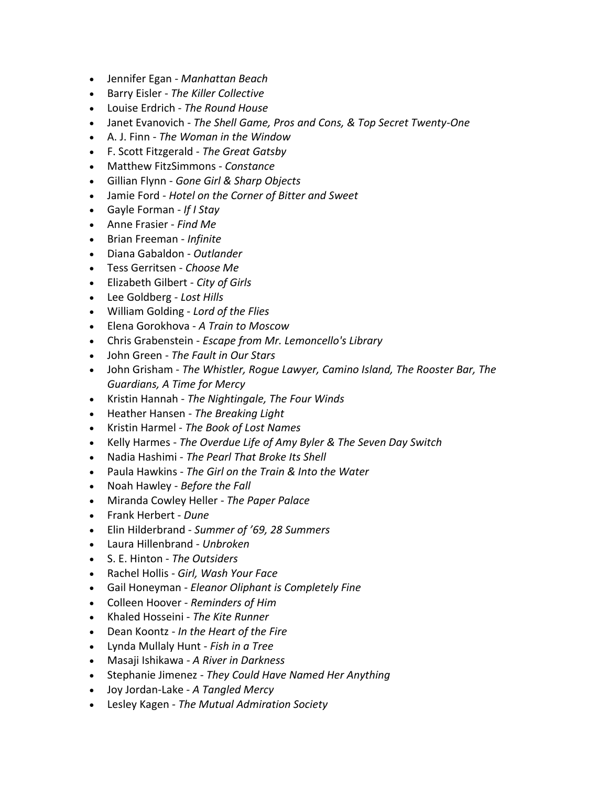- Jennifer Egan *Manhattan Beach*
- Barry Eisler *The Killer Collective*
- Louise Erdrich *The Round House*
- Janet Evanovich *The Shell Game, Pros and Cons, & Top Secret Twenty-One*
- A. J. Finn *The Woman in the Window*
- F. Scott Fitzgerald *The Great Gatsby*
- Matthew FitzSimmons *Constance*
- Gillian Flynn *Gone Girl & Sharp Objects*
- Jamie Ford *Hotel on the Corner of Bitter and Sweet*
- Gayle Forman *If I Stay*
- Anne Frasier *Find Me*
- Brian Freeman *Infinite*
- Diana Gabaldon *Outlander*
- Tess Gerritsen *Choose Me*
- Elizabeth Gilbert *City of Girls*
- Lee Goldberg *Lost Hills*
- William Golding *Lord of the Flies*
- Elena Gorokhova *A Train to Moscow*
- Chris Grabenstein *Escape from Mr. Lemoncello's Library*
- John Green *The Fault in Our Stars*
- John Grisham *The Whistler, Rogue Lawyer, Camino Island, The Rooster Bar, The Guardians, A Time for Mercy*
- Kristin Hannah *The Nightingale, The Four Winds*
- Heather Hansen *The Breaking Light*
- Kristin Harmel *The Book of Lost Names*
- Kelly Harmes *The Overdue Life of Amy Byler & The Seven Day Switch*
- Nadia Hashimi *The Pearl That Broke Its Shell*
- Paula Hawkins *The Girl on the Train & Into the Water*
- Noah Hawley *Before the Fall*
- Miranda Cowley Heller *The Paper Palace*
- Frank Herbert *Dune*
- Elin Hilderbrand *Summer of '69, 28 Summers*
- Laura Hillenbrand *Unbroken*
- S. E. Hinton *The Outsiders*
- Rachel Hollis *Girl, Wash Your Face*
- Gail Honeyman *Eleanor Oliphant is Completely Fine*
- Colleen Hoover *Reminders of Him*
- Khaled Hosseini *The Kite Runner*
- Dean Koontz *In the Heart of the Fire*
- Lynda Mullaly Hunt *Fish in a Tree*
- Masaji Ishikawa *A River in Darkness*
- Stephanie Jimenez *They Could Have Named Her Anything*
- Joy Jordan-Lake *A Tangled Mercy*
- Lesley Kagen *The Mutual Admiration Society*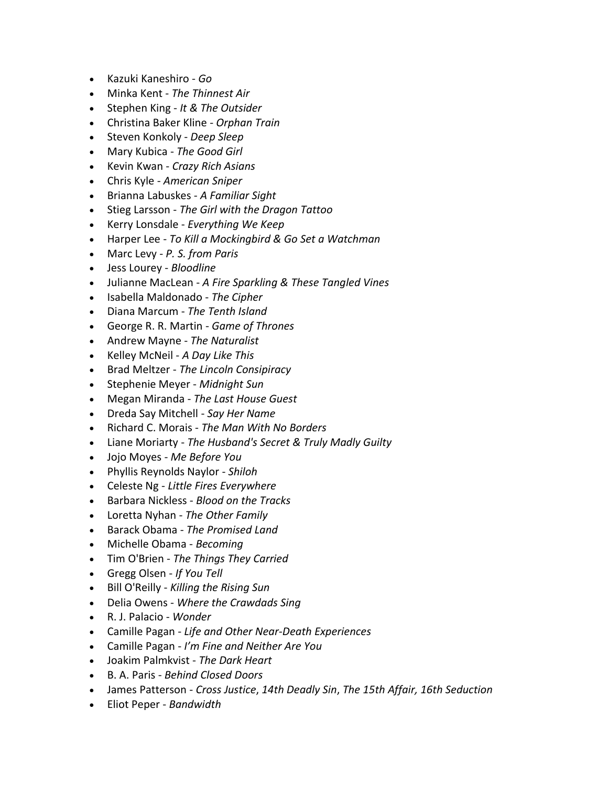- Kazuki Kaneshiro *Go*
- Minka Kent *The Thinnest Air*
- Stephen King *It & The Outsider*
- Christina Baker Kline *Orphan Train*
- Steven Konkoly *Deep Sleep*
- Mary Kubica *The Good Girl*
- Kevin Kwan *Crazy Rich Asians*
- Chris Kyle *American Sniper*
- Brianna Labuskes *A Familiar Sight*
- Stieg Larsson *The Girl with the Dragon Tattoo*
- Kerry Lonsdale *Everything We Keep*
- Harper Lee *To Kill a Mockingbird & Go Set a Watchman*
- Marc Levy *P. S. from Paris*
- Jess Lourey *Bloodline*
- Julianne MacLean *A Fire Sparkling & These Tangled Vines*
- Isabella Maldonado *The Cipher*
- Diana Marcum *The Tenth Island*
- George R. R. Martin *Game of Thrones*
- Andrew Mayne *The Naturalist*
- Kelley McNeil *A Day Like This*
- Brad Meltzer *The Lincoln Consipiracy*
- Stephenie Meyer *Midnight Sun*
- Megan Miranda *The Last House Guest*
- Dreda Say Mitchell *Say Her Name*
- Richard C. Morais *The Man With No Borders*
- Liane Moriarty *The Husband's Secret & Truly Madly Guilty*
- Jojo Moyes *Me Before You*
- Phyllis Reynolds Naylor *Shiloh*
- Celeste Ng *Little Fires Everywhere*
- Barbara Nickless *Blood on the Tracks*
- Loretta Nyhan *The Other Family*
- Barack Obama *The Promised Land*
- Michelle Obama *Becoming*
- Tim O'Brien *The Things They Carried*
- Gregg Olsen *If You Tell*
- Bill O'Reilly *Killing the Rising Sun*
- Delia Owens *Where the Crawdads Sing*
- R. J. Palacio *Wonder*
- Camille Pagan *Life and Other Near-Death Experiences*
- Camille Pagan *I'm Fine and Neither Are You*
- Joakim Palmkvist *The Dark Heart*
- B. A. Paris *Behind Closed Doors*
- James Patterson *Cross Justice*, *14th Deadly Sin*, *The 15th Affair, 16th Seduction*
- Eliot Peper *Bandwidth*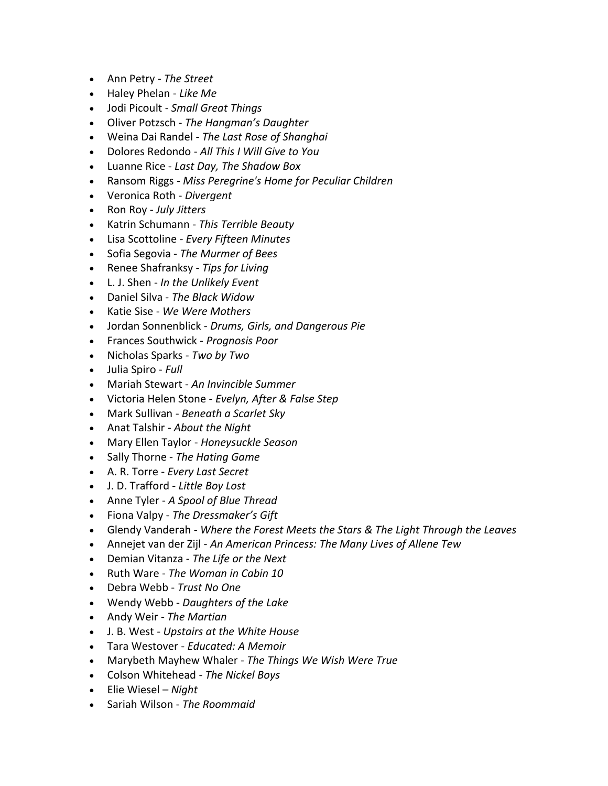- Ann Petry *The Street*
- Haley Phelan *Like Me*
- Jodi Picoult *Small Great Things*
- Oliver Potzsch *The Hangman's Daughter*
- Weina Dai Randel *The Last Rose of Shanghai*
- Dolores Redondo *All This I Will Give to You*
- Luanne Rice *Last Day, The Shadow Box*
- Ransom Riggs *Miss Peregrine's Home for Peculiar Children*
- Veronica Roth *Divergent*
- Ron Roy *July Jitters*
- Katrin Schumann *This Terrible Beauty*
- Lisa Scottoline *Every Fifteen Minutes*
- Sofia Segovia *The Murmer of Bees*
- Renee Shafranksy *Tips for Living*
- L. J. Shen *In the Unlikely Event*
- Daniel Silva *The Black Widow*
- Katie Sise *We Were Mothers*
- Jordan Sonnenblick *Drums, Girls, and Dangerous Pie*
- Frances Southwick *Prognosis Poor*
- Nicholas Sparks *Two by Two*
- Julia Spiro *Full*
- Mariah Stewart *An Invincible Summer*
- Victoria Helen Stone *Evelyn, After & False Step*
- Mark Sullivan *Beneath a Scarlet Sky*
- Anat Talshir *About the Night*
- Mary Ellen Taylor *Honeysuckle Season*
- Sally Thorne *The Hating Game*
- A. R. Torre *Every Last Secret*
- J. D. Trafford *Little Boy Lost*
- Anne Tyler *A Spool of Blue Thread*
- Fiona Valpy *The Dressmaker's Gift*
- Glendy Vanderah *Where the Forest Meets the Stars & The Light Through the Leaves*
- Annejet van der Zijl *An American Princess: The Many Lives of Allene Tew*
- Demian Vitanza *The Life or the Next*
- Ruth Ware *The Woman in Cabin 10*
- Debra Webb *Trust No One*
- Wendy Webb *Daughters of the Lake*
- Andy Weir *The Martian*
- J. B. West *Upstairs at the White House*
- Tara Westover *Educated: A Memoir*
- Marybeth Mayhew Whaler *The Things We Wish Were True*
- Colson Whitehead *The Nickel Boys*
- Elie Wiesel *Night*
- Sariah Wilson *The Roommaid*